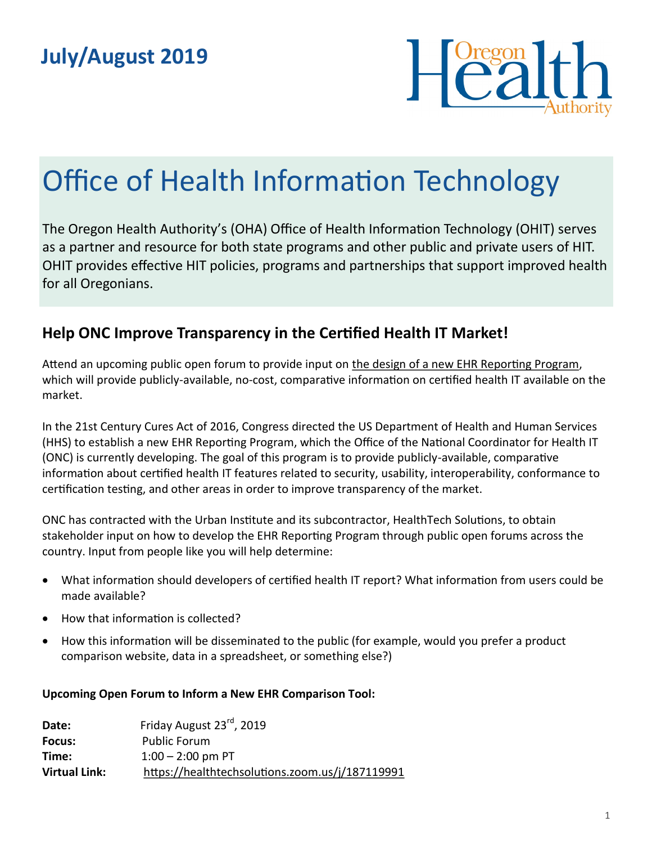

# Office of Health Information Technology

The Oregon Health Authority's (OHA) Office of Health Information Technology (OHIT) serves as a partner and resource for both state programs and other public and private users of HIT. OHIT provides effective HIT policies, programs and partnerships that support improved health for all Oregonians.

## **Help ONC Improve Transparency in the Certified Health IT Market!**

Attend an upcoming public open forum to provide input on [the design of a new EHR Reporting Program,](https://www.healthit.gov/topic/certification-health-it/ehr-reporting-program) which will provide publicly-available, no-cost, comparative information on certified health IT available on the market.

In the 21st Century Cures Act of 2016, Congress directed the US Department of Health and Human Services (HHS) to establish a new EHR Reporting Program, which the Office of the National Coordinator for Health IT (ONC) is currently developing. The goal of this program is to provide publicly-available, comparative information about certified health IT features related to security, usability, interoperability, conformance to certification testing, and other areas in order to improve transparency of the market.

ONC has contracted with the Urban Institute and its subcontractor, HealthTech Solutions, to obtain stakeholder input on how to develop the EHR Reporting Program through public open forums across the country. Input from people like you will help determine:

- What information should developers of certified health IT report? What information from users could be made available?
- How that information is collected?
- How this information will be disseminated to the public (for example, would you prefer a product comparison website, data in a spreadsheet, or something else?)

#### **Upcoming Open Forum to Inform a New EHR Comparison Tool:**

| Date:                | Friday August 23rd, 2019                        |
|----------------------|-------------------------------------------------|
| Focus:               | Public Forum                                    |
| Time:                | $1:00 - 2:00$ pm PT                             |
| <b>Virtual Link:</b> | https://healthtechsolutions.zoom.us/j/187119991 |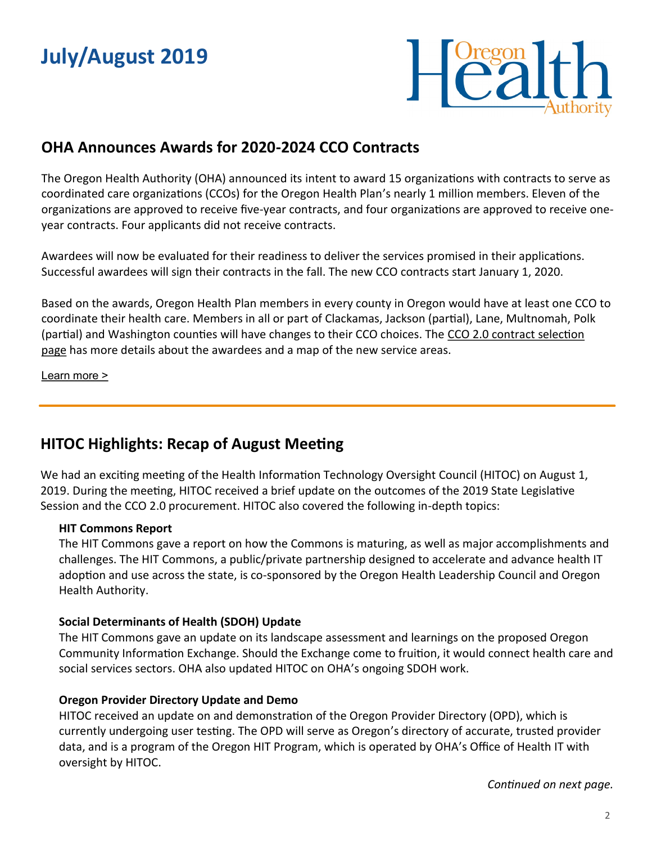## **July/August 2019**



## **OHA Announces Awards for 2020-2024 CCO Contracts**

The Oregon Health Authority (OHA) announced its intent to award 15 organizations with contracts to serve as coordinated care organizations (CCOs) for the Oregon Health Plan's nearly 1 million members. Eleven of the organizations are approved to receive five-year contracts, and four organizations are approved to receive oneyear contracts. Four applicants did not receive contracts.

Awardees will now be evaluated for their readiness to deliver the services promised in their applications. Successful awardees will sign their contracts in the fall. The new CCO contracts start January 1, 2020.

Based on the awards, Oregon Health Plan members in every county in Oregon would have at least one CCO to coordinate their health care. Members in all or part of Clackamas, Jackson (partial), Lane, Multnomah, Polk (partial) and Washington counties will have changes to their CCO choices. The [CCO 2.0 contract selection](https://www.oregon.gov/oha/OHPB/Pages/CCO-2-0-Contract-Selection.aspx)  [page](https://www.oregon.gov/oha/OHPB/Pages/CCO-2-0-Contract-Selection.aspx) has more details about the awardees and a map of the new service areas.

[Learn more >](https://www.oregon.gov/oha/ERD/Pages/Oregon-Health-Authority-Awards-2020-2024-Coordinated-Care-Contracts.aspx)

## **HITOC Highlights: Recap of August Meeting**

We had an exciting meeting of the Health Information Technology Oversight Council (HITOC) on August 1, 2019. During the meeting, HITOC received a brief update on the outcomes of the 2019 State Legislative Session and the CCO 2.0 procurement. HITOC also covered the following in-depth topics:

#### **HIT Commons Report**

The HIT Commons gave a report on how the Commons is maturing, as well as major accomplishments and challenges. The HIT Commons, a public/private partnership designed to accelerate and advance health IT adoption and use across the state, is co-sponsored by the Oregon Health Leadership Council and Oregon Health Authority.

#### **Social Determinants of Health (SDOH) Update**

The HIT Commons gave an update on its landscape assessment and learnings on the proposed Oregon Community Information Exchange. Should the Exchange come to fruition, it would connect health care and social services sectors. OHA also updated HITOC on OHA's ongoing SDOH work.

#### **Oregon Provider Directory Update and Demo**

HITOC received an update on and demonstration of the Oregon Provider Directory (OPD), which is currently undergoing user testing. The OPD will serve as Oregon's directory of accurate, trusted provider data, and is a program of the Oregon HIT Program, which is operated by OHA's Office of Health IT with oversight by HITOC.

*Continued on next page.*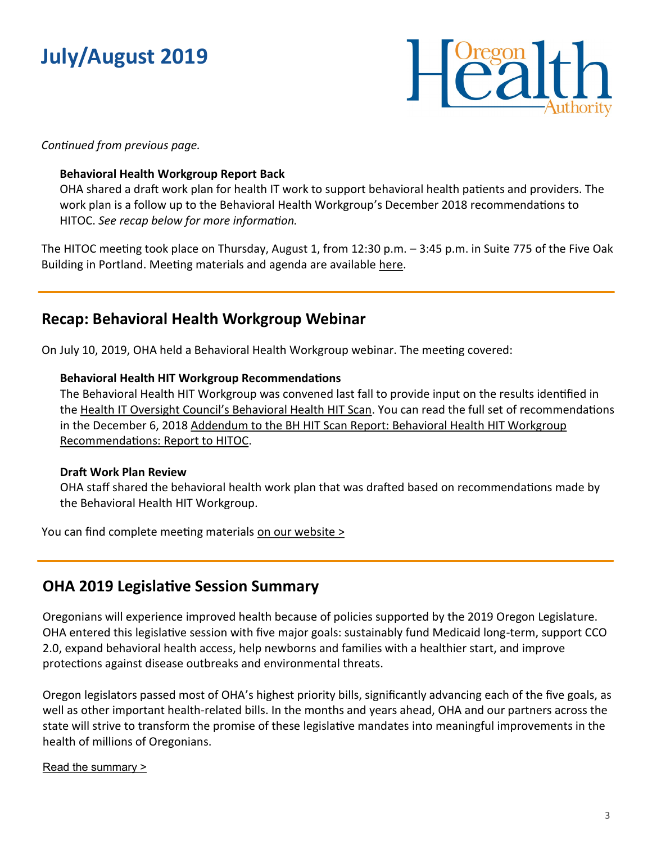## **July/August 2019**



*Continued from previous page.*

#### **Behavioral Health Workgroup Report Back**

OHA shared a draft work plan for health IT work to support behavioral health patients and providers. The work plan is a follow up to the Behavioral Health Workgroup's December 2018 recommendations to HITOC. *See recap below for more information.*

The HITOC meeting took place on Thursday, August 1, from 12:30 p.m. – 3:45 p.m. in Suite 775 of the Five Oak Building in Portland. Meeting materials and agenda are available [here.](https://www.oregon.gov/oha/HPA/OHIT-HITOC/Pages/HITOC-Meetings.aspx)

### **Recap: Behavioral Health Workgroup Webinar**

On July 10, 2019, OHA held a Behavioral Health Workgroup webinar. The meeting covered:

#### **Behavioral Health HIT Workgroup Recommendations**

The Behavioral Health HIT Workgroup was convened last fall to provide input on the results identified in the Health IT Oversight Council'[s Behavioral Health HIT Scan.](https://www.oregon.gov/oha/HPA/OHIT-HITOC/Pages/Behavioral-Health-HIT.aspx) You can read the full set of recommendations in the December 6, 2018 Addendum to the BH HIT Scan Report: Behavioral Health HIT Workgroup [Recommendations: Report to HITOC.](https://www.oregon.gov/oha/HPA/OHIT/Documents/BH_HIT_WorkgroupReportAndRecsDraftForHITOC_Draft.pdf)

#### **Draft Work Plan Review**

OHA staff shared the behavioral health work plan that was drafted based on recommendations made by the Behavioral Health HIT Workgroup.

You can find complete meeting materials [on our website >](https://www.oregon.gov/oha/HPA/OHIT-HITOC/Pages/Behavioral-Health-HIT.aspx)

### **OHA 2019 Legislative Session Summary**

Oregonians will experience improved health because of policies supported by the 2019 Oregon Legislature. OHA entered this legislative session with five major goals: sustainably fund Medicaid long-term, support CCO 2.0, expand behavioral health access, help newborns and families with a healthier start, and improve protections against disease outbreaks and environmental threats.

Oregon legislators passed most of OHA's highest priority bills, significantly advancing each of the five goals, as well as other important health-related bills. In the months and years ahead, OHA and our partners across the state will strive to transform the promise of these legislative mandates into meaningful improvements in the health of millions of Oregonians.

#### [Read the summary >](https://www.oregon.gov/oha/ERD/Documents/Oregon-Health-Authority-2019-Legislative-Summary.pdf)